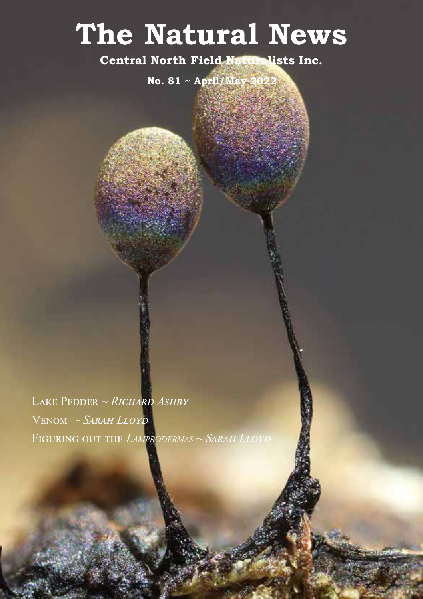# **The Natural News**

**Central North Field Naturalists Inc.**

**No. 81 ~ April/May** 

Lake Pedder ~ *Richard Ashby* Venom ~ *Sarah Lloyd* Figuring out the *Lamprodermas* ~ *Sarah Lloyd*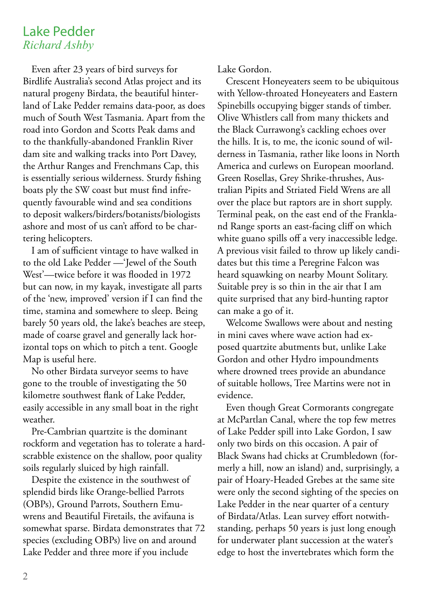# Lake Pedder *Richard Ashby*

Even after 23 years of bird surveys for Birdlife Australia's second Atlas project and its natural progeny Birdata, the beautiful hinterland of Lake Pedder remains data-poor, as does much of South West Tasmania. Apart from the road into Gordon and Scotts Peak dams and to the thankfully-abandoned Franklin River dam site and walking tracks into Port Davey, the Arthur Ranges and Frenchmans Cap, this is essentially serious wilderness. Sturdy fishing boats ply the SW coast but must find infrequently favourable wind and sea conditions to deposit walkers/birders/botanists/biologists ashore and most of us can't afford to be chartering helicopters.

I am of sufficient vintage to have walked in to the old Lake Pedder —'Jewel of the South West'—twice before it was flooded in 1972 but can now, in my kayak, investigate all parts of the 'new, improved' version if I can find the time, stamina and somewhere to sleep. Being barely 50 years old, the lake's beaches are steep, made of coarse gravel and generally lack horizontal tops on which to pitch a tent. Google Map is useful here.

No other Birdata surveyor seems to have gone to the trouble of investigating the 50 kilometre southwest flank of Lake Pedder, easily accessible in any small boat in the right weather.

Pre-Cambrian quartzite is the dominant rockform and vegetation has to tolerate a hardscrabble existence on the shallow, poor quality soils regularly sluiced by high rainfall.

Despite the existence in the southwest of splendid birds like Orange-bellied Parrots (OBPs), Ground Parrots, Southern Emuwrens and Beautiful Firetails, the avifauna is somewhat sparse. Birdata demonstrates that 72 species (excluding OBPs) live on and around Lake Pedder and three more if you include

Lake Gordon.

Crescent Honeyeaters seem to be ubiquitous with Yellow-throated Honeyeaters and Eastern Spinebills occupying bigger stands of timber. Olive Whistlers call from many thickets and the Black Currawong's cackling echoes over the hills. It is, to me, the iconic sound of wilderness in Tasmania, rather like loons in North America and curlews on European moorland. Green Rosellas, Grey Shrike-thrushes, Australian Pipits and Striated Field Wrens are all over the place but raptors are in short supply. Terminal peak, on the east end of the Frankland Range sports an east-facing cliff on which white guano spills off a very inaccessible ledge. A previous visit failed to throw up likely candidates but this time a Peregrine Falcon was heard squawking on nearby Mount Solitary. Suitable prey is so thin in the air that I am quite surprised that any bird-hunting raptor can make a go of it.

Welcome Swallows were about and nesting in mini caves where wave action had exposed quartzite abutments but, unlike Lake Gordon and other Hydro impoundments where drowned trees provide an abundance of suitable hollows, Tree Martins were not in evidence.

Even though Great Cormorants congregate at McPartlan Canal, where the top few metres of Lake Pedder spill into Lake Gordon, I saw only two birds on this occasion. A pair of Black Swans had chicks at Crumbledown (formerly a hill, now an island) and, surprisingly, a pair of Hoary-Headed Grebes at the same site were only the second sighting of the species on Lake Pedder in the near quarter of a century of Birdata/Atlas. Lean survey effort notwithstanding, perhaps 50 years is just long enough for underwater plant succession at the water's edge to host the invertebrates which form the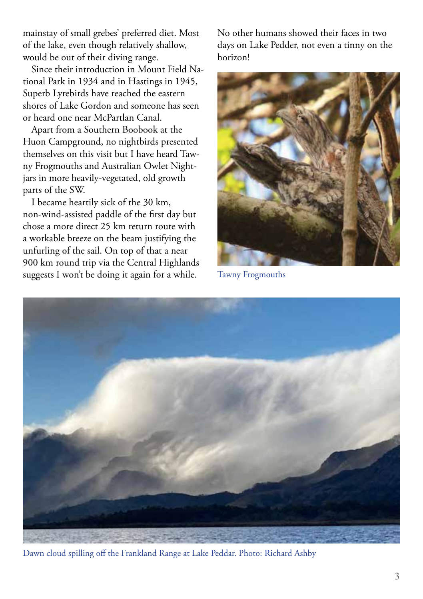mainstay of small grebes' preferred diet. Most of the lake, even though relatively shallow, would be out of their diving range.

Since their introduction in Mount Field National Park in 1934 and in Hastings in 1945, Superb Lyrebirds have reached the eastern shores of Lake Gordon and someone has seen or heard one near McPartlan Canal.

Apart from a Southern Boobook at the Huon Campground, no nightbirds presented themselves on this visit but I have heard Tawny Frogmouths and Australian Owlet Nightjars in more heavily-vegetated, old growth parts of the SW.

I became heartily sick of the 30 km, non-wind-assisted paddle of the first day but chose a more direct 25 km return route with a workable breeze on the beam justifying the unfurling of the sail. On top of that a near 900 km round trip via the Central Highlands suggests I won't be doing it again for a while.

No other humans showed their faces in two days on Lake Pedder, not even a tinny on the horizon!



Tawny Frogmouths



Dawn cloud spilling off the Frankland Range at Lake Peddar. Photo: Richard Ashby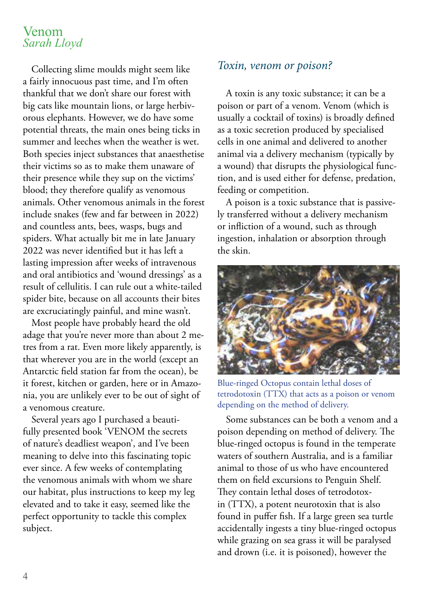### Venom *Sarah Lloyd*

Collecting slime moulds might seem like a fairly innocuous past time, and I'm often thankful that we don't share our forest with big cats like mountain lions, or large herbivorous elephants. However, we do have some potential threats, the main ones being ticks in summer and leeches when the weather is wet. Both species inject substances that anaesthetise their victims so as to make them unaware of their presence while they sup on the victims' blood; they therefore qualify as venomous animals. Other venomous animals in the forest include snakes (few and far between in 2022) and countless ants, bees, wasps, bugs and spiders. What actually bit me in late January 2022 was never identified but it has left a lasting impression after weeks of intravenous and oral antibiotics and 'wound dressings' as a result of cellulitis. I can rule out a white-tailed spider bite, because on all accounts their bites are excruciatingly painful, and mine wasn't.

Most people have probably heard the old adage that you're never more than about 2 metres from a rat. Even more likely apparently, is that wherever you are in the world (except an Antarctic field station far from the ocean), be it forest, kitchen or garden, here or in Amazonia, you are unlikely ever to be out of sight of a venomous creature.

Several years ago I purchased a beautifully presented book 'VENOM the secrets of nature's deadliest weapon', and I've been meaning to delve into this fascinating topic ever since. A few weeks of contemplating the venomous animals with whom we share our habitat, plus instructions to keep my leg elevated and to take it easy, seemed like the perfect opportunity to tackle this complex subject.

#### *Toxin, venom or poison?*

A toxin is any toxic substance; it can be a poison or part of a venom. Venom (which is usually a cocktail of toxins) is broadly defined as a toxic secretion produced by specialised cells in one animal and delivered to another animal via a delivery mechanism (typically by a wound) that disrupts the physiological function, and is used either for defense, predation, feeding or competition.

A poison is a toxic substance that is passively transferred without a delivery mechanism or infliction of a wound, such as through ingestion, inhalation or absorption through the skin.



Blue-ringed Octopus contain lethal doses of tetrodotoxin (TTX) that acts as a poison or venom depending on the method of delivery.

Some substances can be both a venom and a poison depending on method of delivery. The blue-ringed octopus is found in the temperate waters of southern Australia, and is a familiar animal to those of us who have encountered them on field excursions to Penguin Shelf. They contain lethal doses of tetrodotoxin (TTX), a potent neurotoxin that is also found in puffer fish. If a large green sea turtle accidentally ingests a tiny blue-ringed octopus while grazing on sea grass it will be paralysed and drown (i.e. it is poisoned), however the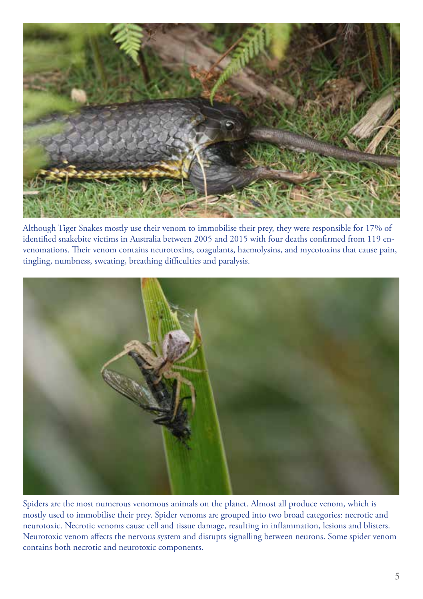

Although Tiger Snakes mostly use their venom to immobilise their prey, they were responsible for 17% of identified snakebite victims in Australia between 2005 and 2015 with four deaths confirmed from 119 envenomations. Their venom contains neurotoxins, coagulants, haemolysins, and mycotoxins that cause pain, tingling, numbness, sweating, breathing difficulties and paralysis.



Spiders are the most numerous venomous animals on the planet. Almost all produce venom, which is mostly used to immobilise their prey. Spider venoms are grouped into two broad categories: necrotic and neurotoxic. Necrotic venoms cause cell and tissue damage, resulting in inflammation, lesions and blisters. Neurotoxic venom affects the nervous system and disrupts signalling between neurons. Some spider venom contains both necrotic and neurotoxic components.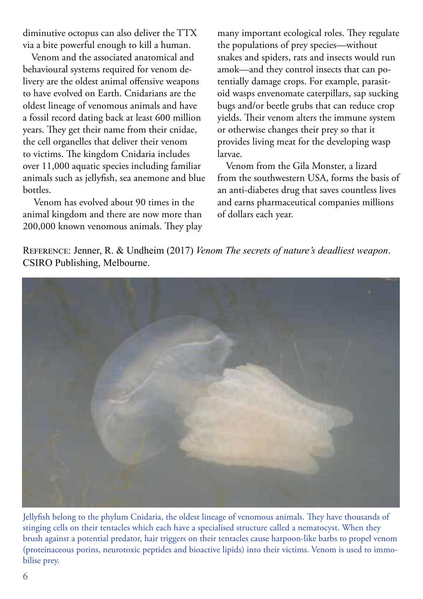diminutive octopus can also deliver the TTX via a bite powerful enough to kill a human.

Venom and the associated anatomical and behavioural systems required for venom delivery are the oldest animal offensive weapons to have evolved on Earth. Cnidarians are the oldest lineage of venomous animals and have a fossil record dating back at least 600 million years. They get their name from their cnidae, the cell organelles that deliver their venom to victims. The kingdom Cnidaria includes over 11,000 aquatic species including familiar animals such as jellyfish, sea anemone and blue bottles.

 Venom has evolved about 90 times in the animal kingdom and there are now more than 200,000 known venomous animals. They play

many important ecological roles. They regulate the populations of prey species—without snakes and spiders, rats and insects would run amok—and they control insects that can potentially damage crops. For example, parasitoid wasps envenomate caterpillars, sap sucking bugs and/or beetle grubs that can reduce crop yields. Their venom alters the immune system or otherwise changes their prey so that it provides living meat for the developing wasp larvae.

Venom from the Gila Monster, a lizard from the southwestern USA, forms the basis of an anti-diabetes drug that saves countless lives and earns pharmaceutical companies millions of dollars each year.

Reference: Jenner, R. & Undheim (2017) *Venom The secrets of nature's deadliest weapon*. CSIRO Publishing, Melbourne.



Jellyfish belong to the phylum Cnidaria, the oldest lineage of venomous animals. They have thousands of stinging cells on their tentacles which each have a specialised structure called a nematocyst. When they brush against a potential predator, hair triggers on their tentacles cause harpoon-like barbs to propel venom (proteinaceous porins, neurotoxic peptides and bioactive lipids) into their victims. Venom is used to immobilise prey.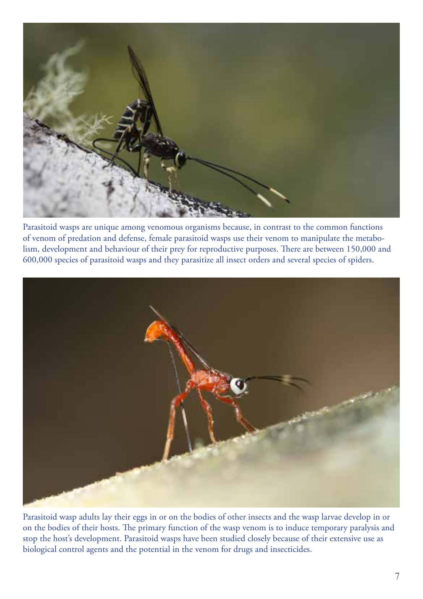

Parasitoid wasps are unique among venomous organisms because, in contrast to the common functions of venom of predation and defense, female parasitoid wasps use their venom to manipulate the metabolism, development and behaviour of their prey for reproductive purposes. There are between 150,000 and 600,000 species of parasitoid wasps and they parasitize all insect orders and several species of spiders.



Parasitoid wasp adults lay their eggs in or on the bodies of other insects and the wasp larvae develop in or on the bodies of their hosts. The primary function of the wasp venom is to induce temporary paralysis and stop the host's development. Parasitoid wasps have been studied closely because of their extensive use as biological control agents and the potential in the venom for drugs and insecticides.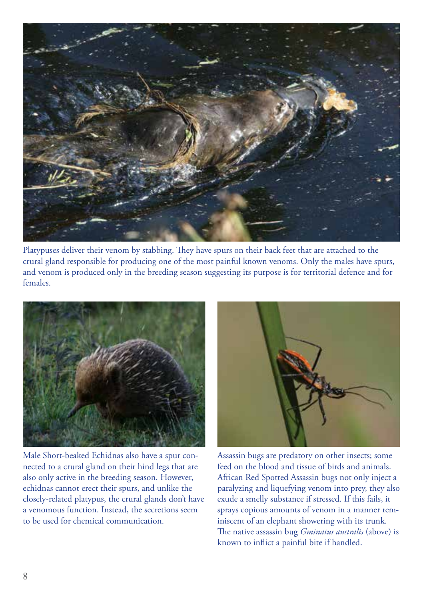

Platypuses deliver their venom by stabbing. They have spurs on their back feet that are attached to the crural gland responsible for producing one of the most painful known venoms. Only the males have spurs, and venom is produced only in the breeding season suggesting its purpose is for territorial defence and for females.



Male Short-beaked Echidnas also have a spur connected to a crural gland on their hind legs that are also only active in the breeding season. However, echidnas cannot erect their spurs, and unlike the closely-related platypus, the crural glands don't have a venomous function. Instead, the secretions seem to be used for chemical communication.



Assassin bugs are predatory on other insects; some feed on the blood and tissue of birds and animals. African Red Spotted Assassin bugs not only inject a paralyzing and liquefying venom into prey, they also exude a smelly substance if stressed. If this fails, it sprays copious amounts of venom in a manner reminiscent of an elephant showering with its trunk. The native assassin bug *Gminatus australis* (above) is known to inflict a painful bite if handled.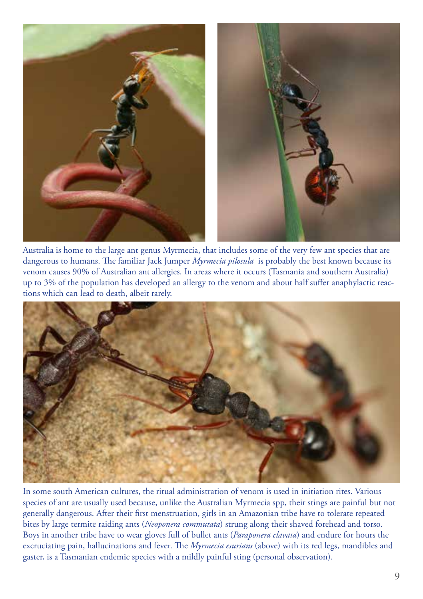

Australia is home to the large ant genus Myrmecia, that includes some of the very few ant species that are dangerous to humans. The familiar Jack Jumper *Myrmecia pilosula* is probably the best known because its venom causes 90% of Australian ant allergies. In areas where it occurs (Tasmania and southern Australia) up to 3% of the population has developed an allergy to the venom and about half suffer anaphylactic reactions which can lead to death, albeit rarely.



In some south American cultures, the ritual administration of venom is used in initiation rites. Various species of ant are usually used because, unlike the Australian Myrmecia spp, their stings are painful but not generally dangerous. After their first menstruation, girls in an Amazonian tribe have to tolerate repeated bites by large termite raiding ants (*Neoponera commutata*) strung along their shaved forehead and torso. Boys in another tribe have to wear gloves full of bullet ants (*Paraponera clavata*) and endure for hours the excruciating pain, hallucinations and fever. The *Myrmecia esurians* (above) with its red legs, mandibles and gaster, is a Tasmanian endemic species with a mildly painful sting (personal observation).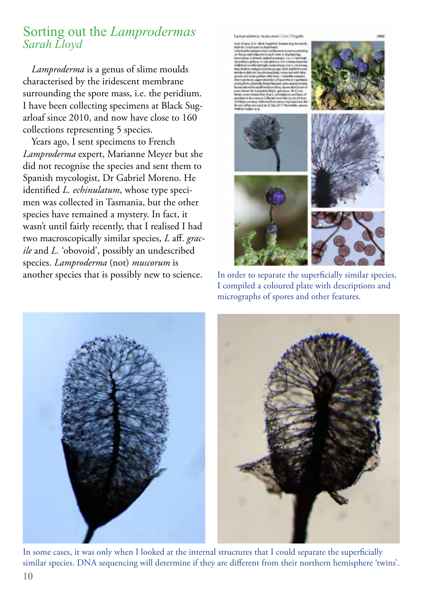# Sorting out the *Lamprodermas Sarah Lloyd*

*Lamproderma* is a genus of slime moulds characterised by the iridescent membrane surrounding the spore mass, i.e. the peridium. I have been collecting specimens at Black Sugarloaf since 2010, and now have close to 160 collections representing 5 species.

Years ago, I sent specimens to French *Lamproderma* expert, Marianne Meyer but she did not recognise the species and sent them to Spanish mycologist, Dr Gabriel Moreno. He identified *L. echinulatum*, whose type specimen was collected in Tasmania, but the other species have remained a mystery. In fact, it wasn't until fairly recently, that I realised I had two macroscopically similar species, *L* aff. *gracile* and *L.* 'obovoid', possibly an undescribed species. *Lamproderma* (not) *muscorum* is<br>another species that is possibly new to science.

Lamproclavina manconum (Liv.) Handel





In order to separate the superficially similar species, I compiled a coloured plate with descriptions and micrographs of spores and other features.



In some cases, it was only when I looked at the internal structures that I could separate the superficially similar species. DNA sequencing will determine if they are different from their northern hemisphere 'twins'.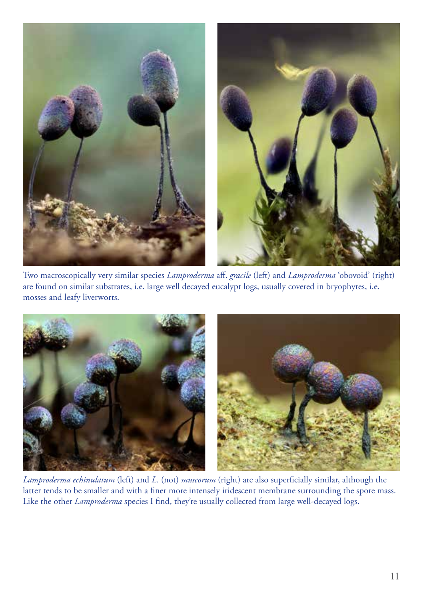

Two macroscopically very similar species *Lamproderma* aff. *gracile* (left) and *Lamproderma* 'obovoid' (right) are found on similar substrates, i.e. large well decayed eucalypt logs, usually covered in bryophytes, i.e. mosses and leafy liverworts.



*Lamproderma echinulatum* (left) and *L.* (not) *muscorum* (right) are also superficially similar, although the latter tends to be smaller and with a finer more intensely iridescent membrane surrounding the spore mass. Like the other *Lamproderma* species I find, they're usually collected from large well-decayed logs.